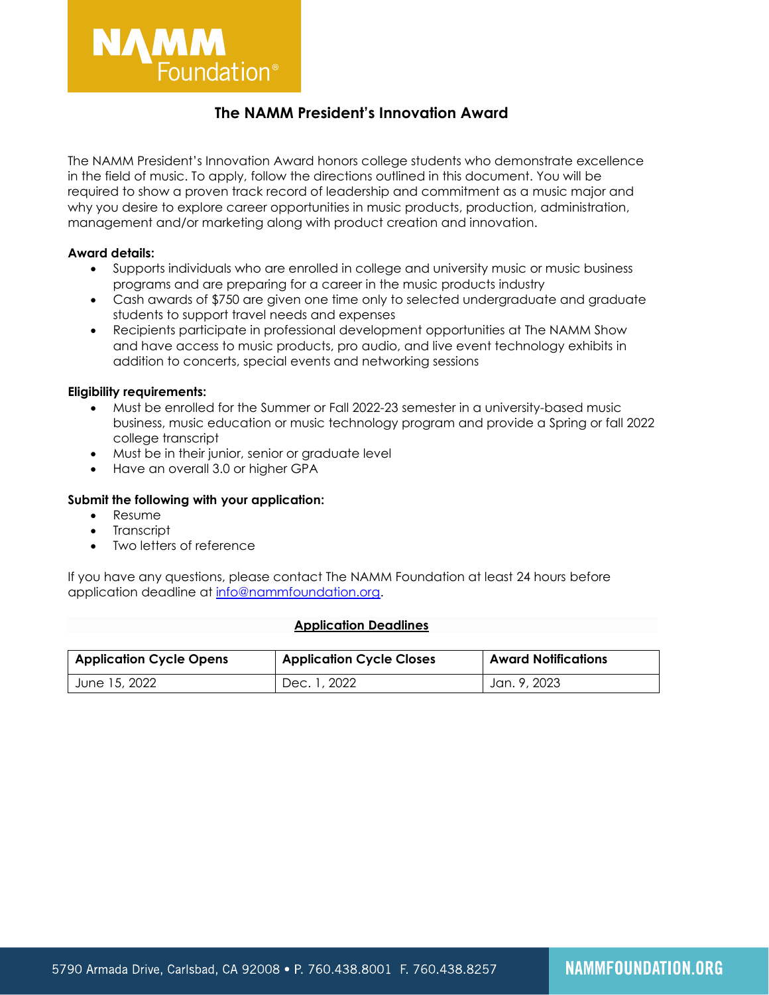

# **The NAMM President's Innovation Award**

The NAMM President's Innovation Award honors college students who demonstrate excellence in the field of music. To apply, follow the directions outlined in this document. You will be required to show a proven track record of leadership and commitment as a music major and why you desire to explore career opportunities in music products, production, administration, management and/or marketing along with product creation and innovation.

## **Award details:**

- Supports individuals who are enrolled in college and university music or music business programs and are preparing for a career in the music products industry
- Cash awards of \$750 are given one time only to selected undergraduate and graduate students to support travel needs and expenses
- Recipients participate in professional development opportunities at The NAMM Show and have access to music products, pro audio, and live event technology exhibits in addition to concerts, special events and networking sessions

## **Eligibility requirements:**

- Must be enrolled for the Summer or Fall 2022-23 semester in a university-based music business, music education or music technology program and provide a Spring or fall 2022 college transcript
- Must be in their junior, senior or graduate level
- Have an overall 3.0 or higher GPA

### **Submit the following with your application:**

- Resume
- **Transcript**
- Two letters of reference

If you have any questions, please contact The NAMM Foundation at least 24 hours before application deadline at [info@nammfoundation.org.](mailto:info@nammfoundation.org)

#### **Application Deadlines**

| <b>Application Cycle Opens</b> | <b>Application Cycle Closes</b> | <b>Award Notifications</b> |
|--------------------------------|---------------------------------|----------------------------|
| June 15, 2022                  | Dec. 1, 2022                    | Jan. 9, 2023               |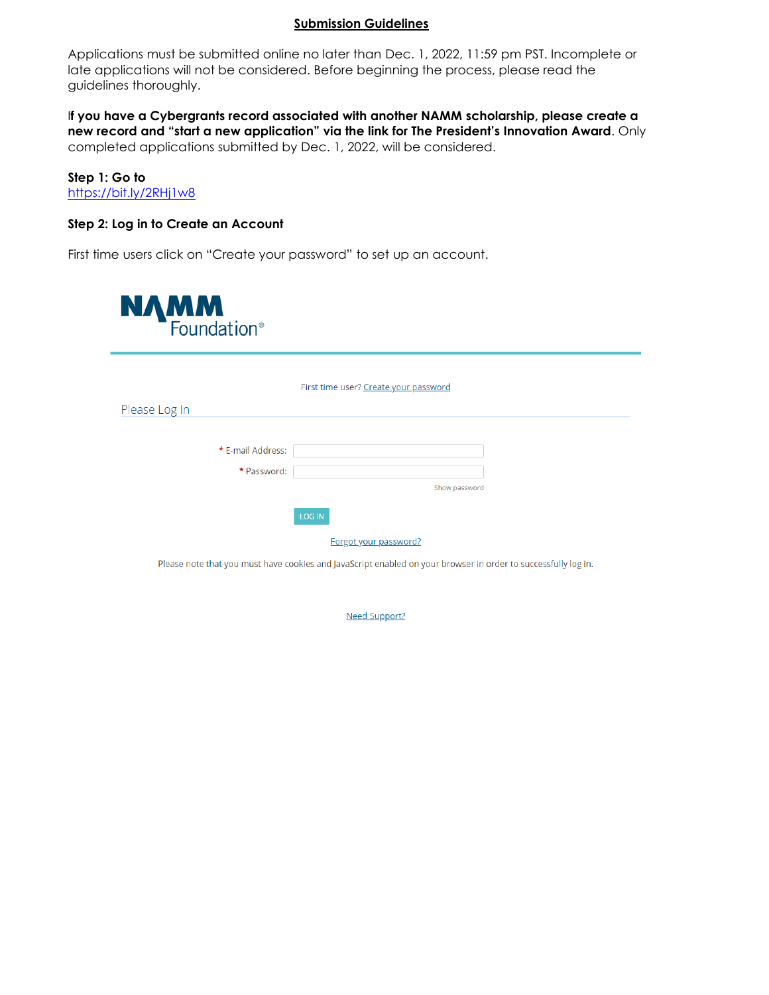## **Submission Guidelines**

Applications must be submitted online no later than Dec. 1, 2022, 11:59 pm PST. Incomplete or late applications will not be considered. Before beginning the process, please read the guidelines thoroughly.

I**f you have a Cybergrants record associated with another NAMM scholarship, please create a new record and "start a new application" via the link for The President's Innovation Award**. Only completed applications submitted by Dec. 1, 2022, will be considered.

**Step 1: Go to**  <https://bit.ly/2RHj1w8>

## **Step 2: Log in to Create an Account**

First time users click on "Create your password" to set up an account.



Please note that you must have cookies and JavaScript enabled on your browser in order to successfully log in.

**Need Support?**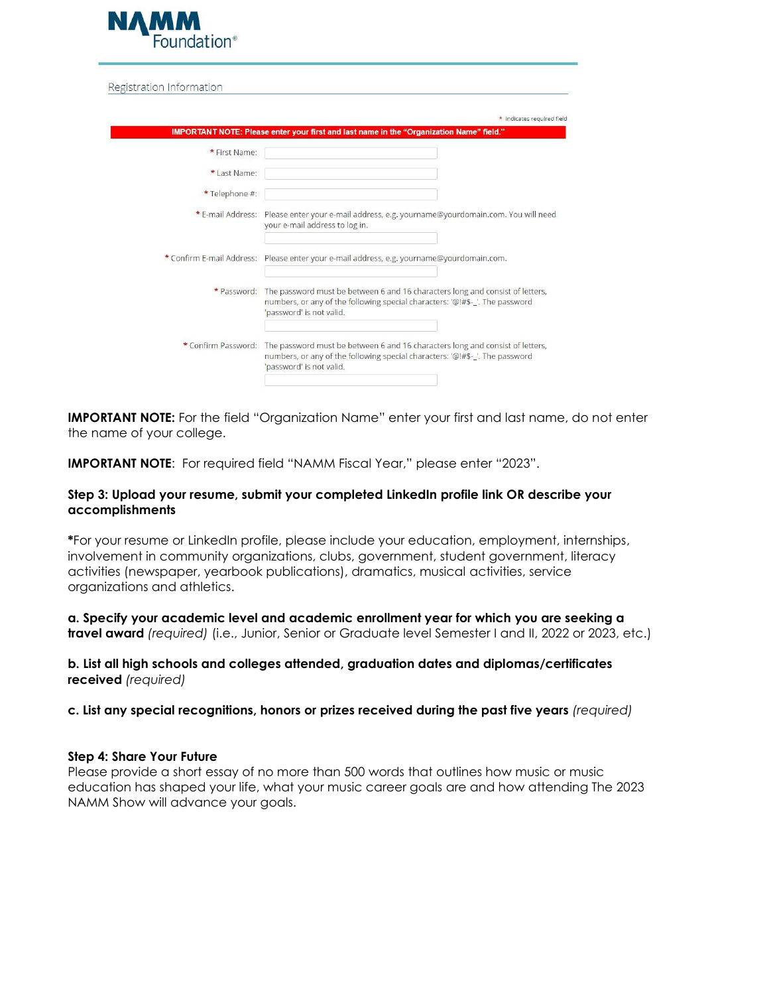

Registration Information

| * First Name:             |                                                                                                                                                                                           |
|---------------------------|-------------------------------------------------------------------------------------------------------------------------------------------------------------------------------------------|
| * Last Name:              |                                                                                                                                                                                           |
| *Telephone #:             |                                                                                                                                                                                           |
| * E-mail Address:         | Please enter your e-mail address, e.g. yourname@yourdomain.com. You will need<br>your e-mail address to log in.                                                                           |
| * Confirm E-mail Address: | Please enter your e-mail address, e.g. yourname@yourdomain.com.                                                                                                                           |
| * Password:               | The password must be between 6 and 16 characters long and consist of letters,<br>numbers, or any of the following special characters: '@!#\$-_'. The password<br>'password' is not valid. |
| * Confirm Password:       | The password must be between 6 and 16 characters long and consist of letters,<br>numbers, or any of the following special characters: '@!#\$-_'. The password<br>'password' is not valid. |

**IMPORTANT NOTE:** For the field "Organization Name" enter your first and last name, do not enter the name of your college.

**IMPORTANT NOTE:** For required field "NAMM Fiscal Year," please enter "2023".

## **Step 3: Upload your resume, submit your completed LinkedIn profile link OR describe your accomplishments**

**\***For your resume or LinkedIn profile, please include your education, employment, internships, involvement in community organizations, clubs, government, student government, literacy activities (newspaper, yearbook publications), dramatics, musical activities, service organizations and athletics.

**a. Specify your academic level and academic enrollment year for which you are seeking a travel award** *(required)* (i.e., Junior, Senior or Graduate level Semester I and II, 2022 or 2023, etc.)

## **b. List all high schools and colleges attended, graduation dates and diplomas/certificates received** *(required)*

**c. List any special recognitions, honors or prizes received during the past five years** *(required)*

## **Step 4: Share Your Future**

Please provide a short essay of no more than 500 words that outlines how music or music education has shaped your life, what your music career goals are and how attending The 2023 NAMM Show will advance your goals.